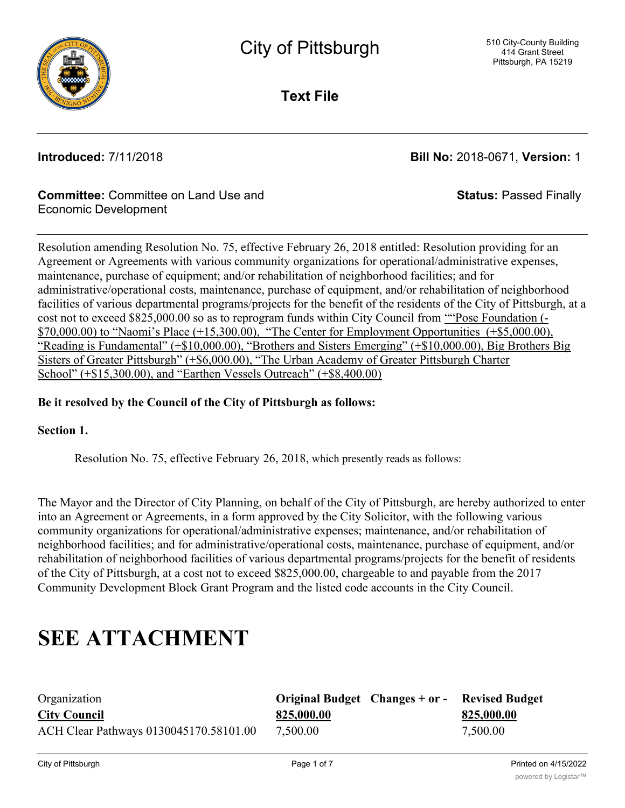

**Text File**

**Introduced:** 7/11/2018 **Bill No:** 2018-0671, **Version:** 1

**Status:** Passed Finally

#### **Committee:** Committee on Land Use and Economic Development

Resolution amending Resolution No. 75, effective February 26, 2018 entitled: Resolution providing for an Agreement or Agreements with various community organizations for operational/administrative expenses, maintenance, purchase of equipment; and/or rehabilitation of neighborhood facilities; and for administrative/operational costs, maintenance, purchase of equipment, and/or rehabilitation of neighborhood facilities of various departmental programs/projects for the benefit of the residents of the City of Pittsburgh, at a cost not to exceed \$825,000.00 so as to reprogram funds within City Council from "Pose Foundation (- $$70,000.00$ ) to "Naomi's Place  $(+15,300.00)$ , "The Center for Employment Opportunities  $(+\$5,000.00)$ , "Reading is Fundamental" (+\$10,000.00), "Brothers and Sisters Emerging" (+\$10,000.00), Big Brothers Big Sisters of Greater Pittsburgh" (+\$6,000.00), "The Urban Academy of Greater Pittsburgh Charter School" (+\$15,300.00), and "Earthen Vessels Outreach" (+\$8,400.00)

#### **Be it resolved by the Council of the City of Pittsburgh as follows:**

#### **Section 1.**

Resolution No. 75, effective February 26, 2018, which presently reads as follows:

The Mayor and the Director of City Planning, on behalf of the City of Pittsburgh, are hereby authorized to enter into an Agreement or Agreements, in a form approved by the City Solicitor, with the following various community organizations for operational/administrative expenses; maintenance, and/or rehabilitation of neighborhood facilities; and for administrative/operational costs, maintenance, purchase of equipment, and/or rehabilitation of neighborhood facilities of various departmental programs/projects for the benefit of residents of the City of Pittsburgh, at a cost not to exceed \$825,000.00, chargeable to and payable from the 2017 Community Development Block Grant Program and the listed code accounts in the City Council.

# **SEE ATTACHMENT**

| Organization                           | Original Budget Changes + or - | <b>Revised Budget</b> |
|----------------------------------------|--------------------------------|-----------------------|
| <b>City Council</b>                    | 825,000.00                     | 825,000.00            |
| ACH Clear Pathways 0130045170.58101.00 | 7,500.00                       | 7,500.00              |

Angel 1 23096170.59101.000 5,000.000 5,000.000 5,000.000 5,000.00 5,000.00 5,000.00 5,000.00 5,000.00 5,000.00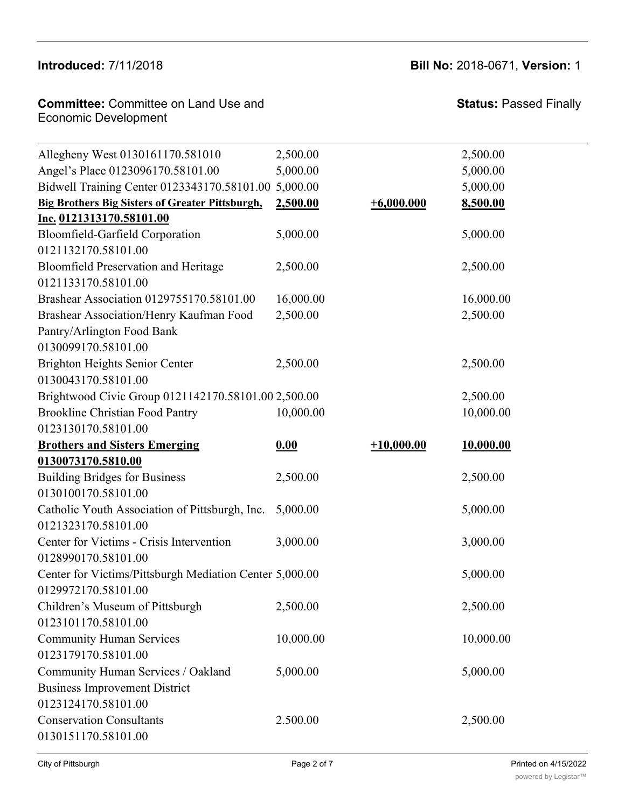# **Introduced:** 7/11/2018 **Bill No:** 2018-0671, **Version:** 1

| <b>Committee: Committee on Land Use and</b> | <b>Status: Pa</b> |
|---------------------------------------------|-------------------|
| Economic Development                        |                   |

**Status: Passed Finally** 

| Allegheny West 0130161170.581010                        | 2,500.00  |              | 2,500.00         |
|---------------------------------------------------------|-----------|--------------|------------------|
| Angel's Place 0123096170.58101.00                       | 5,000.00  |              | 5,000.00         |
| Bidwell Training Center 0123343170.58101.00 5,000.00    |           |              | 5,000.00         |
| <b>Big Brothers Big Sisters of Greater Pittsburgh,</b>  | 2,500.00  | $+6,000.000$ | 8,500.00         |
| Inc. 0121313170.58101.00                                |           |              |                  |
| Bloomfield-Garfield Corporation                         | 5,000.00  |              | 5,000.00         |
| 0121132170.58101.00                                     |           |              |                  |
| <b>Bloomfield Preservation and Heritage</b>             | 2,500.00  |              | 2,500.00         |
| 0121133170.58101.00                                     |           |              |                  |
| Brashear Association 0129755170.58101.00                | 16,000.00 |              | 16,000.00        |
| Brashear Association/Henry Kaufman Food                 | 2,500.00  |              | 2,500.00         |
| Pantry/Arlington Food Bank                              |           |              |                  |
| 0130099170.58101.00                                     |           |              |                  |
| <b>Brighton Heights Senior Center</b>                   | 2,500.00  |              | 2,500.00         |
| 0130043170.58101.00                                     |           |              |                  |
| Brightwood Civic Group 0121142170.58101.00 2,500.00     |           |              | 2,500.00         |
| <b>Brookline Christian Food Pantry</b>                  | 10,000.00 |              | 10,000.00        |
| 0123130170.58101.00                                     |           |              |                  |
| <b>Brothers and Sisters Emerging</b>                    | 0.00      | $+10,000.00$ | <u>10,000.00</u> |
| 0130073170.5810.00                                      |           |              |                  |
| <b>Building Bridges for Business</b>                    | 2,500.00  |              | 2,500.00         |
| 0130100170.58101.00                                     |           |              |                  |
| Catholic Youth Association of Pittsburgh, Inc.          | 5,000.00  |              | 5,000.00         |
| 0121323170.58101.00                                     |           |              |                  |
| Center for Victims - Crisis Intervention                | 3,000.00  |              | 3,000.00         |
| 0128990170.58101.00                                     |           |              |                  |
| Center for Victims/Pittsburgh Mediation Center 5,000.00 |           |              | 5,000.00         |
| 0129972170.58101.00                                     |           |              |                  |
| Children's Museum of Pittsburgh                         | 2,500.00  |              | 2,500.00         |
| 0123101170.58101.00                                     |           |              |                  |
| <b>Community Human Services</b>                         | 10,000.00 |              | 10,000.00        |
| 0123179170.58101.00                                     |           |              |                  |
| Community Human Services / Oakland                      | 5,000.00  |              | 5,000.00         |
| <b>Business Improvement District</b>                    |           |              |                  |
| 0123124170.58101.00                                     |           |              |                  |
| <b>Conservation Consultants</b>                         | 2.500.00  |              | 2,500.00         |
| 0130151170.58101.00                                     |           |              |                  |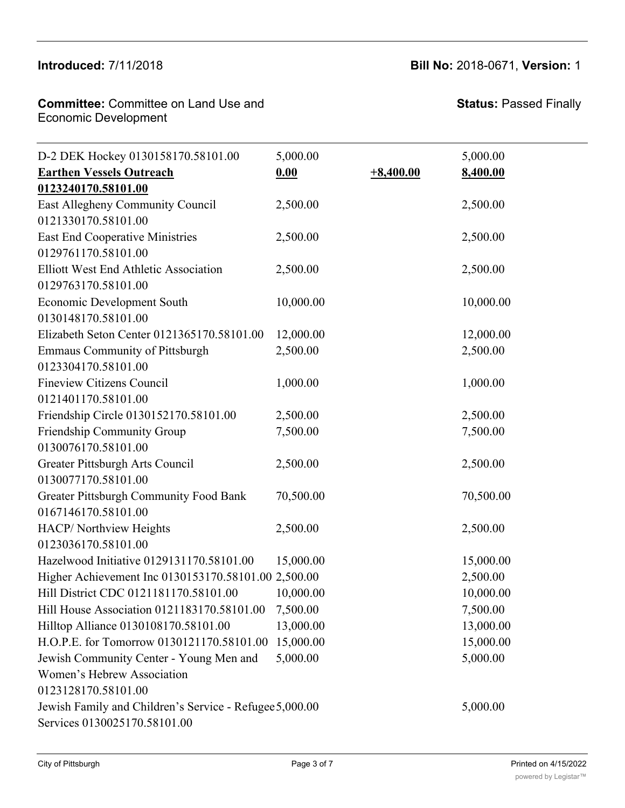#### Introduced: 7/11/2018 Community Human Services / Oakland

<u>Community Human Services Services Services Services Services Services Services Se</u>

#### **Committee:** Committee on Land Use and Economic Development **Committee:** Commi

10,000.00 10,000.00

**Status:** Passed Finally

| D-2 DEK Hockey 0130158170.58101.00                      | 5,000.00  |             | 5,000.00  |
|---------------------------------------------------------|-----------|-------------|-----------|
| <b>Earthen Vessels Outreach</b>                         | 0.00      | $+8,400.00$ | 8,400.00  |
| 0123240170.58101.00                                     |           |             |           |
| East Allegheny Community Council                        | 2,500.00  |             | 2,500.00  |
| 0121330170.58101.00                                     |           |             |           |
| <b>East End Cooperative Ministries</b>                  | 2,500.00  |             | 2,500.00  |
| 0129761170.58101.00                                     |           |             |           |
| Elliott West End Athletic Association                   | 2,500.00  |             | 2,500.00  |
| 0129763170.58101.00                                     |           |             |           |
| <b>Economic Development South</b>                       | 10,000.00 |             | 10,000.00 |
| 0130148170.58101.00                                     |           |             |           |
| Elizabeth Seton Center 0121365170.58101.00              | 12,000.00 |             | 12,000.00 |
| <b>Emmaus Community of Pittsburgh</b>                   | 2,500.00  |             | 2,500.00  |
| 0123304170.58101.00                                     |           |             |           |
| <b>Fineview Citizens Council</b>                        | 1,000.00  |             | 1,000.00  |
| 0121401170.58101.00                                     |           |             |           |
| Friendship Circle 0130152170.58101.00                   | 2,500.00  |             | 2,500.00  |
| Friendship Community Group                              | 7,500.00  |             | 7,500.00  |
| 0130076170.58101.00                                     |           |             |           |
| Greater Pittsburgh Arts Council                         | 2,500.00  |             | 2,500.00  |
| 0130077170.58101.00                                     |           |             |           |
| Greater Pittsburgh Community Food Bank                  | 70,500.00 |             | 70,500.00 |
| 0167146170.58101.00                                     |           |             |           |
| HACP/Northview Heights                                  | 2,500.00  |             | 2,500.00  |
| 0123036170.58101.00                                     |           |             |           |
| Hazelwood Initiative 0129131170.58101.00                | 15,000.00 |             | 15,000.00 |
| Higher Achievement Inc 0130153170.58101.00 2,500.00     |           |             | 2,500.00  |
| Hill District CDC 0121181170.58101.00                   | 10,000.00 |             | 10,000.00 |
| Hill House Association 0121183170.58101.00              | 7,500.00  |             | 7,500.00  |
| Hilltop Alliance 0130108170.58101.00                    | 13,000.00 |             | 13,000.00 |
| H.O.P.E. for Tomorrow 0130121170.58101.00               | 15,000.00 |             | 15,000.00 |
| Jewish Community Center - Young Men and                 | 5,000.00  |             | 5,000.00  |
| Women's Hebrew Association                              |           |             |           |
| 0123128170.58101.00                                     |           |             |           |
| Jewish Family and Children's Service - Refugee 5,000.00 |           |             | 5,000.00  |
| Services 0130025170.58101.00                            |           |             |           |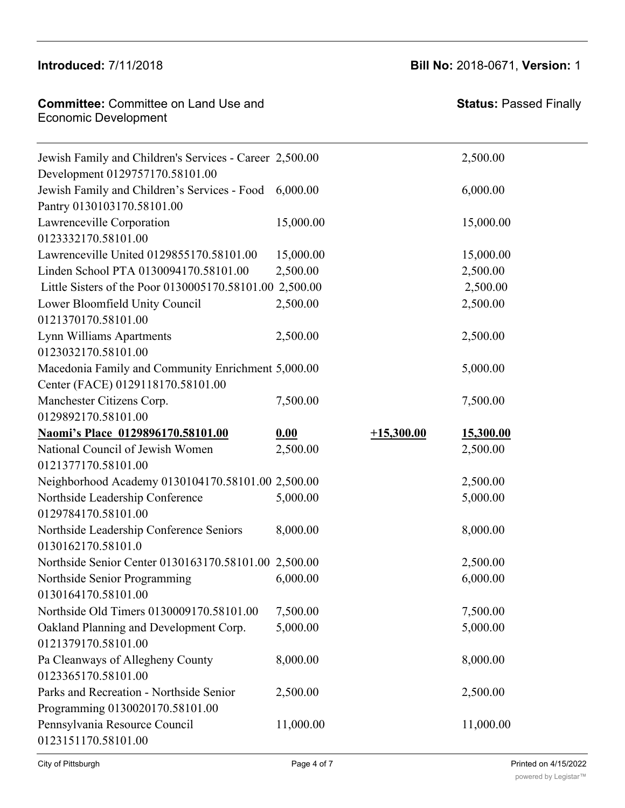**Introduced:** 7/11/2018 **Bill No:** 2018-0671, **Version:** 1

| <b>Committee: Committee on Land Use and</b> |
|---------------------------------------------|
| Economic Development                        |
|                                             |

| Jewish Family and Children's Services - Career 2,500.00 |           |              | 2,500.00  |
|---------------------------------------------------------|-----------|--------------|-----------|
| Development 0129757170.58101.00                         |           |              |           |
| Jewish Family and Children's Services - Food            | 6,000.00  |              | 6,000.00  |
| Pantry 0130103170.58101.00                              |           |              |           |
| Lawrenceville Corporation                               | 15,000.00 |              | 15,000.00 |
| 0123332170.58101.00                                     |           |              |           |
| Lawrenceville United 0129855170.58101.00                | 15,000.00 |              | 15,000.00 |
| Linden School PTA 0130094170.58101.00                   | 2,500.00  |              | 2,500.00  |
| Little Sisters of the Poor 0130005170.58101.00 2,500.00 |           |              | 2,500.00  |
| Lower Bloomfield Unity Council                          | 2,500.00  |              | 2,500.00  |
| 0121370170.58101.00                                     |           |              |           |
| Lynn Williams Apartments                                | 2,500.00  |              | 2,500.00  |
| 0123032170.58101.00                                     |           |              |           |
| Macedonia Family and Community Enrichment 5,000.00      |           |              | 5,000.00  |
| Center (FACE) 0129118170.58101.00                       |           |              |           |
| Manchester Citizens Corp.                               | 7,500.00  |              | 7,500.00  |
| 0129892170.58101.00                                     |           |              |           |
| Naomi's Place 0129896170.58101.00                       | 0.00      | $+15,300.00$ | 15,300.00 |
| National Council of Jewish Women                        | 2,500.00  |              | 2,500.00  |
| 0121377170.58101.00                                     |           |              |           |
| Neighborhood Academy 0130104170.58101.00 2,500.00       |           |              | 2,500.00  |
| Northside Leadership Conference                         | 5,000.00  |              | 5,000.00  |
| 0129784170.58101.00                                     |           |              |           |
| Northside Leadership Conference Seniors                 | 8,000.00  |              | 8,000.00  |
| 0130162170.58101.0                                      |           |              |           |
| Northside Senior Center 0130163170.58101.00 2,500.00    |           |              | 2,500.00  |
| Northside Senior Programming                            | 6,000.00  |              | 6,000.00  |
| 0130164170.58101.00                                     |           |              |           |
| Northside Old Timers 0130009170.58101.00                | 7,500.00  |              | 7,500.00  |
| Oakland Planning and Development Corp.                  | 5,000.00  |              | 5,000.00  |
| 0121379170.58101.00                                     |           |              |           |
| Pa Cleanways of Allegheny County                        | 8,000.00  |              | 8,000.00  |
| 0123365170.58101.00                                     |           |              |           |
| Parks and Recreation - Northside Senior                 | 2,500.00  |              | 2,500.00  |
| Programming 0130020170.58101.00                         |           |              |           |
| Pennsylvania Resource Council                           | 11,000.00 |              | 11,000.00 |
| 0123151170.58101.00                                     |           |              |           |

Hilltop Alliance 0130108170.58101.00 13,000.00 13,000.00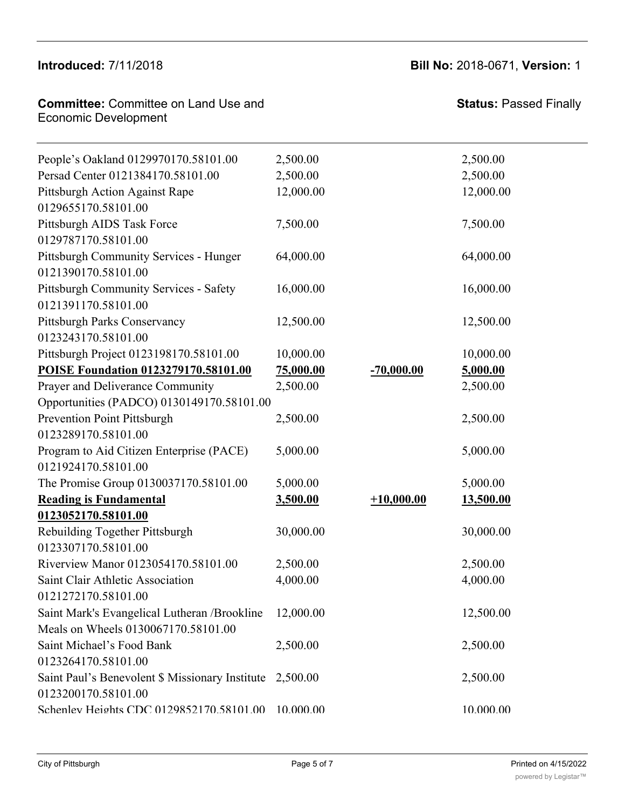0121379170.58101.00

#### **Committee:** Committee on Land Use and **Committee:** Committee on Early<br>Economic Development Parks and Recreation - Northside Senior Pennsylvania Resource Council

| <b>Status: Passed Finally</b> |
|-------------------------------|

| People's Oakland 0129970170.58101.00            | 2,500.00  |              | 2,500.00  |
|-------------------------------------------------|-----------|--------------|-----------|
| Persad Center 0121384170.58101.00               | 2,500.00  |              | 2,500.00  |
| Pittsburgh Action Against Rape                  | 12,000.00 |              | 12,000.00 |
| 0129655170.58101.00                             |           |              |           |
| Pittsburgh AIDS Task Force                      | 7,500.00  |              | 7,500.00  |
| 0129787170.58101.00                             |           |              |           |
| Pittsburgh Community Services - Hunger          | 64,000.00 |              | 64,000.00 |
| 0121390170.58101.00                             |           |              |           |
| <b>Pittsburgh Community Services - Safety</b>   | 16,000.00 |              | 16,000.00 |
| 0121391170.58101.00                             |           |              |           |
| Pittsburgh Parks Conservancy                    | 12,500.00 |              | 12,500.00 |
| 0123243170.58101.00                             |           |              |           |
| Pittsburgh Project 0123198170.58101.00          | 10,000.00 |              | 10,000.00 |
| POISE Foundation 0123279170.58101.00            | 75,000.00 | $-70,000.00$ | 5,000.00  |
| Prayer and Deliverance Community                | 2,500.00  |              | 2,500.00  |
| Opportunities (PADCO) 0130149170.58101.00       |           |              |           |
| <b>Prevention Point Pittsburgh</b>              | 2,500.00  |              | 2,500.00  |
| 0123289170.58101.00                             |           |              |           |
| Program to Aid Citizen Enterprise (PACE)        | 5,000.00  |              | 5,000.00  |
| 0121924170.58101.00                             |           |              |           |
| The Promise Group 0130037170.58101.00           | 5,000.00  |              | 5,000.00  |
| <b>Reading is Fundamental</b>                   | 3,500.00  | $+10,000.00$ | 13,500.00 |
| 0123052170.58101.00                             |           |              |           |
| Rebuilding Together Pittsburgh                  | 30,000.00 |              | 30,000.00 |
| 0123307170.58101.00                             |           |              |           |
| Riverview Manor 0123054170.58101.00             | 2,500.00  |              | 2,500.00  |
| Saint Clair Athletic Association                | 4,000.00  |              | 4,000.00  |
| 0121272170.58101.00                             |           |              |           |
| Saint Mark's Evangelical Lutheran / Brookline   | 12,000.00 |              | 12,500.00 |
| Meals on Wheels 0130067170.58101.00             |           |              |           |
| Saint Michael's Food Bank                       | 2,500.00  |              | 2,500.00  |
| 0123264170.58101.00                             |           |              |           |
| Saint Paul's Benevolent \$ Missionary Institute | 2,500.00  |              | 2,500.00  |
| 0123200170.58101.00                             |           |              |           |
| Schenlev Heights CDC 0129852170.58101.00        | 10.000.00 |              | 10.000.00 |
|                                                 |           |              |           |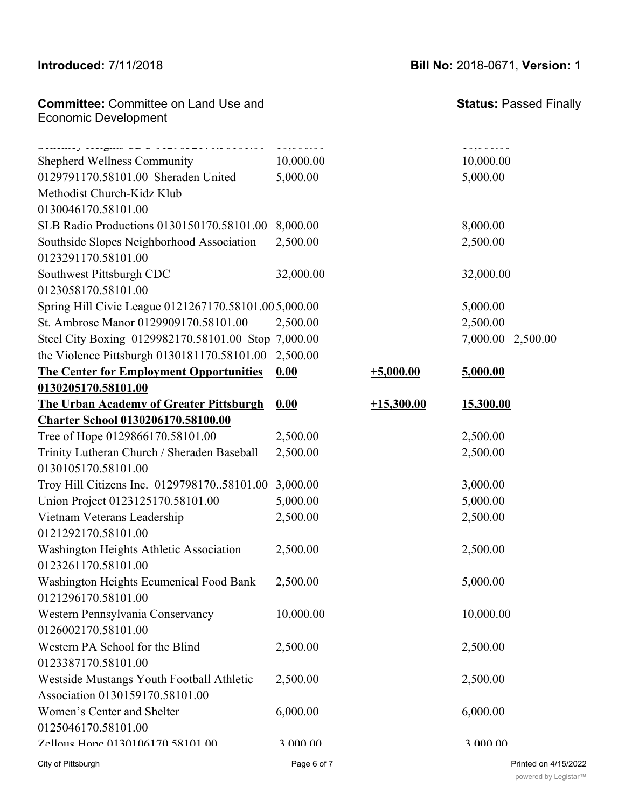# **Committee: Committee on Land Use and Committee Schimittee on Early See and**<br>Economic Development

# **Introduced:** 7/11/2018 **Bill No:** 2018-0671, **Version:** 1

**Status:** Passed Finally  $2,50,000$ 

| Denemer Heising CDC VID/0001/000101000<br><b>Shepherd Wellness Community</b> | 10,000<br>10,000.00 |              | 1.0,0.00,0.00<br>10,000.00 |
|------------------------------------------------------------------------------|---------------------|--------------|----------------------------|
| 0129791170.58101.00 Sheraden United                                          | 5,000.00            |              | 5,000.00                   |
| Methodist Church-Kidz Klub                                                   |                     |              |                            |
| 0130046170.58101.00                                                          |                     |              |                            |
| SLB Radio Productions 0130150170.58101.00                                    | 8,000.00            |              | 8,000.00                   |
| Southside Slopes Neighborhood Association                                    | 2,500.00            |              | 2,500.00                   |
| 0123291170.58101.00                                                          |                     |              |                            |
| Southwest Pittsburgh CDC                                                     | 32,000.00           |              | 32,000.00                  |
| 0123058170.58101.00                                                          |                     |              |                            |
| Spring Hill Civic League 0121267170.58101.005,000.00                         |                     |              | 5,000.00                   |
| St. Ambrose Manor 0129909170.58101.00                                        | 2,500.00            |              | 2,500.00                   |
| Steel City Boxing 0129982170.58101.00 Stop 7,000.00                          |                     |              | 7,000.00<br>2,500.00       |
| the Violence Pittsburgh 0130181170.58101.00                                  | 2,500.00            |              |                            |
| <b>The Center for Employment Opportunities</b>                               | 0.00                | $+5,000.00$  | 5,000.00                   |
| 0130205170.58101.00                                                          |                     |              |                            |
| <b>The Urban Academy of Greater Pittsburgh</b>                               | 0.00                | $+15,300.00$ | 15,300.00                  |
| <b>Charter School 0130206170.58100.00</b>                                    |                     |              |                            |
| Tree of Hope 0129866170.58101.00                                             | 2,500.00            |              | 2,500.00                   |
| Trinity Lutheran Church / Sheraden Baseball                                  | 2,500.00            |              | 2,500.00                   |
| 0130105170.58101.00                                                          |                     |              |                            |
| Troy Hill Citizens Inc. 012979817058101.00                                   | 3,000.00            |              | 3,000.00                   |
| Union Project 0123125170.58101.00                                            | 5,000.00            |              | 5,000.00                   |
| Vietnam Veterans Leadership                                                  | 2,500.00            |              | 2,500.00                   |
| 0121292170.58101.00                                                          |                     |              |                            |
| Washington Heights Athletic Association                                      | 2,500.00            |              | 2,500.00                   |
| 0123261170.58101.00                                                          |                     |              |                            |
| Washington Heights Ecumenical Food Bank                                      | 2,500.00            |              | 5,000.00                   |
| 0121296170.58101.00                                                          |                     |              |                            |
| Western Pennsylvania Conservancy                                             | 10,000.00           |              | 10,000.00                  |
| 0126002170.58101.00                                                          |                     |              |                            |
| Western PA School for the Blind                                              | 2,500.00            |              | 2,500.00                   |
| 0123387170.58101.00                                                          |                     |              |                            |
| Westside Mustangs Youth Football Athletic                                    | 2,500.00            |              | 2,500.00                   |
| Association 0130159170.58101.00                                              |                     |              |                            |
| Women's Center and Shelter                                                   | 6,000.00            |              | 6,000.00                   |
| 0125046170.58101.00                                                          |                     |              |                            |
| 7ellous Hone 0130106170 58101 00                                             | 3 000 00            |              | 3 000 00                   |